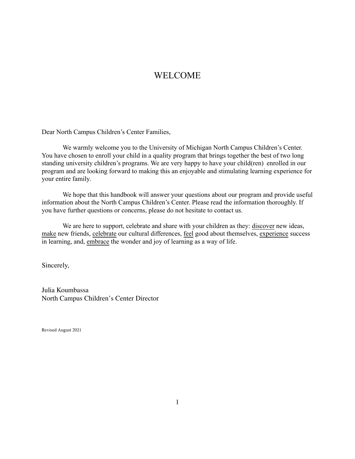# WELCOME

Dear North Campus Children's Center Families,

We warmly welcome you to the University of Michigan North Campus Children's Center. You have chosen to enroll your child in a quality program that brings together the best of two long standing university children's programs. We are very happy to have your child(ren) enrolled in our program and are looking forward to making this an enjoyable and stimulating learning experience for your entire family.

We hope that this handbook will answer your questions about our program and provide useful information about the North Campus Children's Center. Please read the information thoroughly. If you have further questions or concerns, please do not hesitate to contact us.

We are here to support, celebrate and share with your children as they: discover new ideas, make new friends, celebrate our cultural differences, feel good about themselves, experience success in learning, and, embrace the wonder and joy of learning as a way of life.

Sincerely,

Julia Koumbassa North Campus Children's Center Director

Revised August 2021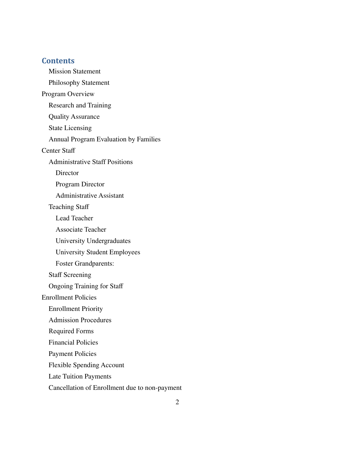#### **Contents**

Mission [Statement](#page-6-0) [Philosophy](#page-6-1) Statement Program [Overview](#page-7-0) [Research](#page-8-0) and Training Quality [Assurance](#page-8-1) State [Licensing](#page-8-2) Annual Program [Evaluation](#page-8-3) by Families [Center](#page-9-0) Staff [Administrative Staff Positions](#page-9-1) **[Director](#page-9-2)** [Program](#page-9-3) Director [Administrative](#page-9-4) Assistant [Teaching](#page-9-5) Staff [Lead Teacher](#page-10-0) [Associate Teacher](#page-10-1) [University Undergraduates](#page-10-2) University Student [Employees](#page-10-3) [Foster Grandparents:](#page-10-4) Staff [Screening](#page-10-5) [Ongoing](#page-11-0) Training for Staff [Enrollment](#page-11-1) Policies [Enrollment](#page-11-2) Priority [Admission Procedures](#page-12-0) [Required Forms](#page-12-1) [Financial](#page-14-0) Policies [Payment](#page-14-1) Policies Flexible [Spending](#page-14-2) Account Late Tuition [Payments](#page-14-3) Cancellation of Enrollment due to [non-payment](#page-15-0)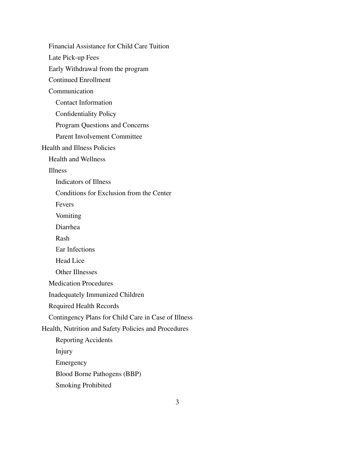Financial [Assistance](#page-16-0) for Child Care Tuition Late [Pick-up](#page-16-1) Fees Early [Withdrawal](#page-17-0) from the program Continued [Enrollment](#page-17-1) **[Communication](#page-17-2)** Contact Information [Confidentiality](#page-18-0) Policy Program [Questions](#page-19-0) and Concerns Parent [Involvement](#page-19-1) Committee Health and Illness [Policies](#page-19-2) Health and [Wellness](#page-19-3) [Illness](#page-19-4) [Indicators](#page-20-0) of Illness [Conditions](#page-20-1) for Exclusion from the Center [Fevers](#page-20-2) [Vomiting](#page-21-0) [Diarrhea](#page-21-1) [Rash](#page-21-2) [Ear Infections](#page-21-3) [Head](#page-22-0) Lice Other [Illnesses](#page-22-1) [Medication](#page-22-2) Procedures [Inadequately](#page-23-0) Immunized Children [Required](#page-23-1) Health Records Contingency Plans for Child Care in [Case of Illness](#page-24-0) Health, Nutrition and Safety Policies [and Procedures](#page-24-1) [Reporting](#page-24-2) Accidents [Injury](#page-25-0) [Emergency](#page-25-1) Blood Borne [Pathogens](#page-25-2) (BBP) Smoking [Prohibited](#page-25-3)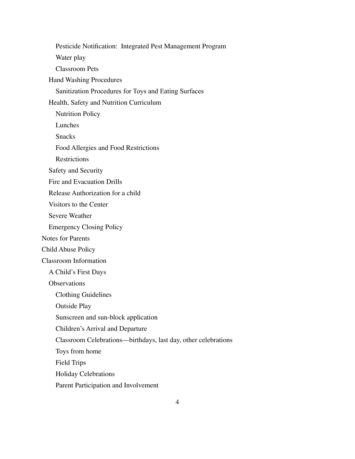Pesticide Notification: Integrated Pest [Management](#page-25-4) Program [Water](#page-26-0) play [Classroom](#page-26-1) Pets Hand Washing [Procedures](#page-27-0) [Sanitization Procedures for Toys and Eating Surfaces](#page-27-1) Health, Safety and Nutrition [Curriculum](#page-28-0) [Nutrition](#page-28-1) Policy [Lunches](#page-28-2) [Snacks](#page-28-3) Food Allergies and Food [Restrictions](#page-29-0) **[Restrictions](#page-29-1)** Safety and [Security](#page-29-2) Fire and [Evacuation](#page-29-3) Drills Release [Authorization](#page-29-4) for a child [Visitors](#page-30-0) to the Center Severe [Weather](#page-30-1) [Emergency](#page-31-0) Closing Policy Notes for [Parents](#page-31-1) Child [Abuse](#page-32-0) Policy Classroom [Information](#page-32-1) A [Child's](#page-32-2) First Days **[Observations](#page-32-3)** Clothing [Guidelines](#page-32-4) [Outside](#page-33-0) Play Sunscreen and sun-block [application](#page-33-1) [Children's](#page-33-2) Arrival and Departure Classroom [Celebrations—birthdays,](#page-33-3) last day, other celebrations Toys from [home](#page-34-0) Field [Trips](#page-34-1) Holiday [Celebrations](#page-34-2) Parent [Participation](#page-34-3) and Involvement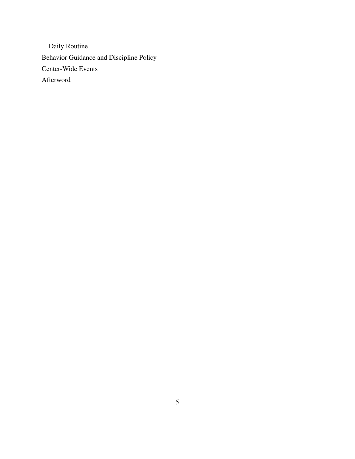Daily [Routine](#page-35-0) Behavior Guidance and [Discipline](#page-36-0) Policy [Center-Wide](#page-37-0) Events [Afterword](#page-37-1)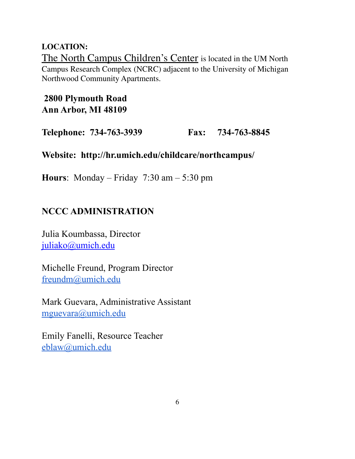# **LOCATION:**

The North Campus Children's Center is located in the UM North Campus Research Complex (NCRC) adjacent to the University of Michigan Northwood Community Apartments.

# **2800 Plymouth Road Ann Arbor, MI 48109**

**Telephone: 734-763-3939 Fax: 734-763-8845**

# **Website: http://hr.umich.edu/childcare/northcampus/**

**Hours**: Monday – Friday 7:30 am – 5:30 pm

# **NCCC ADMINISTRATION**

Julia Koumbassa, Director [juliako@umich.edu](mailto:lwcoon@umich.edu)

Michelle Freund, Program Director [freundm@umich.edu](mailto:freundm@umich.edu)

Mark Guevara, Administrative Assistant [mguevara@umich.edu](mailto:mguevara@umich.edu)

Emily Fanelli, Resource Teacher [eblaw@umich.edu](mailto:eblaw@umich.edu)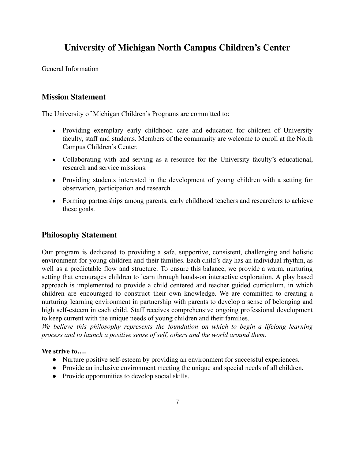# **University of Michigan North Campus Children's Center**

General Information

### <span id="page-6-0"></span>**Mission Statement**

The University of Michigan Children's Programs are committed to:

- Providing exemplary early childhood care and education for children of University faculty, staff and students. Members of the community are welcome to enroll at the North Campus Children's Center.
- Collaborating with and serving as a resource for the University faculty's educational, research and service missions.
- Providing students interested in the development of young children with a setting for observation, participation and research.
- Forming partnerships among parents, early childhood teachers and researchers to achieve these goals.

### <span id="page-6-1"></span>**Philosophy Statement**

Our program is dedicated to providing a safe, supportive, consistent, challenging and holistic environment for young children and their families. Each child's day has an individual rhythm, as well as a predictable flow and structure. To ensure this balance, we provide a warm, nurturing setting that encourages children to learn through hands-on interactive exploration. A play based approach is implemented to provide a child centered and teacher guided curriculum, in which children are encouraged to construct their own knowledge. We are committed to creating a nurturing learning environment in partnership with parents to develop a sense of belonging and high self-esteem in each child. Staff receives comprehensive ongoing professional development to keep current with the unique needs of young children and their families.

*We believe this philosophy represents the foundation on which to begin a lifelong learning process and to launch a positive sense of self, others and the world around them.*

#### **We strive to….**

- Nurture positive self-esteem by providing an environment for successful experiences.
- Provide an inclusive environment meeting the unique and special needs of all children.
- Provide opportunities to develop social skills.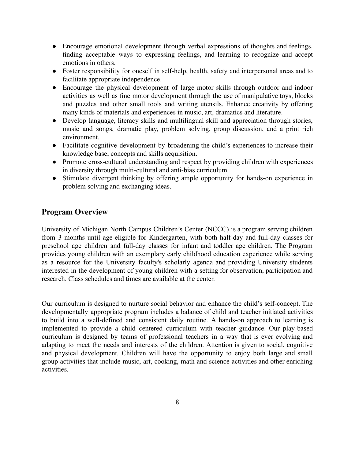- Encourage emotional development through verbal expressions of thoughts and feelings, finding acceptable ways to expressing feelings, and learning to recognize and accept emotions in others.
- Foster responsibility for oneself in self-help, health, safety and interpersonal areas and to facilitate appropriate independence.
- Encourage the physical development of large motor skills through outdoor and indoor activities as well as fine motor development through the use of manipulative toys, blocks and puzzles and other small tools and writing utensils. Enhance creativity by offering many kinds of materials and experiences in music, art, dramatics and literature.
- Develop language, literacy skills and multilingual skill and appreciation through stories, music and songs, dramatic play, problem solving, group discussion, and a print rich environment.
- Facilitate cognitive development by broadening the child's experiences to increase their knowledge base, concepts and skills acquisition.
- Promote cross-cultural understanding and respect by providing children with experiences in diversity through multi-cultural and anti-bias curriculum.
- Stimulate divergent thinking by offering ample opportunity for hands-on experience in problem solving and exchanging ideas.

### <span id="page-7-0"></span>**Program Overview**

University of Michigan North Campus Children's Center (NCCC) is a program serving children from 3 months until age-eligible for Kindergarten, with both half-day and full-day classes for preschool age children and full-day classes for infant and toddler age children. The Program provides young children with an exemplary early childhood education experience while serving as a resource for the University faculty's scholarly agenda and providing University students interested in the development of young children with a setting for observation, participation and research. Class schedules and times are available at the center.

Our curriculum is designed to nurture social behavior and enhance the child's self-concept. The developmentally appropriate program includes a balance of child and teacher initiated activities to build into a well-defined and consistent daily routine. A hands-on approach to learning is implemented to provide a child centered curriculum with teacher guidance. Our play-based curriculum is designed by teams of professional teachers in a way that is ever evolving and adapting to meet the needs and interests of the children. Attention is given to social, cognitive and physical development. Children will have the opportunity to enjoy both large and small group activities that include music, art, cooking, math and science activities and other enriching activities.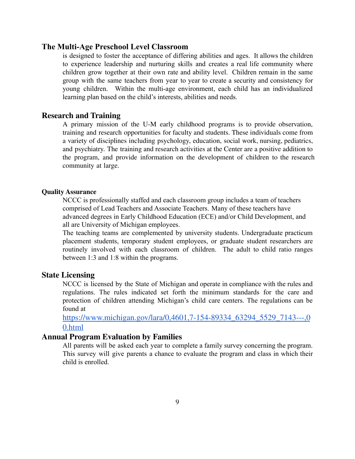#### **The Multi-Age Preschool Level Classroom**

is designed to foster the acceptance of differing abilities and ages. It allows the children to experience leadership and nurturing skills and creates a real life community where children grow together at their own rate and ability level. Children remain in the same group with the same teachers from year to year to create a security and consistency for young children. Within the multi-age environment, each child has an individualized learning plan based on the child's interests, abilities and needs.

#### <span id="page-8-0"></span>**Research and Training**

A primary mission of the U-M early childhood programs is to provide observation, training and research opportunities for faculty and students. These individuals come from a variety of disciplines including psychology, education, social work, nursing, pediatrics, and psychiatry. The training and research activities at the Center are a positive addition to the program, and provide information on the development of children to the research community at large.

#### <span id="page-8-1"></span>**Quality Assurance**

NCCC is professionally staffed and each classroom group includes a team of teachers comprised of Lead Teachers and Associate Teachers. Many of these teachers have advanced degrees in Early Childhood Education (ECE) and/or Child Development, and all are University of Michigan employees.

The teaching teams are complemented by university students. Undergraduate practicum placement students, temporary student employees, or graduate student researchers are routinely involved with each classroom of children. The adult to child ratio ranges between 1:3 and 1:8 within the programs.

#### <span id="page-8-2"></span>**State Licensing**

NCCC is licensed by the State of Michigan and operate in compliance with the rules and regulations. The rules indicated set forth the minimum standards for the care and protection of children attending Michigan's child care centers. The regulations can be found at

[https://www.michigan.gov/lara/0,4601,7-154-89334\\_63294\\_5529\\_7143---,0](https://www.michigan.gov/lara/0,4601,7-154-89334_63294_5529_7143---,00.html) [0.html](https://www.michigan.gov/lara/0,4601,7-154-89334_63294_5529_7143---,00.html)

#### <span id="page-8-3"></span>**Annual Program Evaluation by Families**

All parents will be asked each year to complete a family survey concerning the program. This survey will give parents a chance to evaluate the program and class in which their child is enrolled.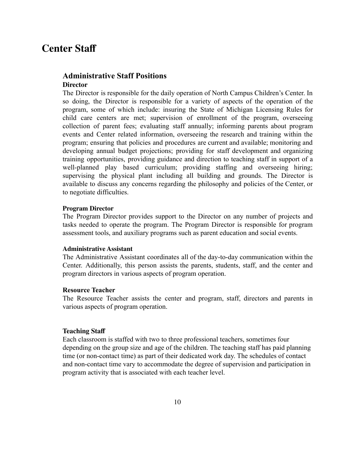# <span id="page-9-0"></span>**Center Staff**

#### <span id="page-9-2"></span><span id="page-9-1"></span>**Administrative Staff Positions Director**

The Director is responsible for the daily operation of North Campus Children's Center. In so doing, the Director is responsible for a variety of aspects of the operation of the program, some of which include: insuring the State of Michigan Licensing Rules for child care centers are met; supervision of enrollment of the program, overseeing collection of parent fees; evaluating staff annually; informing parents about program events and Center related information, overseeing the research and training within the program; ensuring that policies and procedures are current and available; monitoring and developing annual budget projections; providing for staff development and organizing training opportunities, providing guidance and direction to teaching staff in support of a well-planned play based curriculum; providing staffing and overseeing hiring; supervising the physical plant including all building and grounds. The Director is available to discuss any concerns regarding the philosophy and policies of the Center, or to negotiate difficulties.

#### <span id="page-9-3"></span>**Program Director**

The Program Director provides support to the Director on any number of projects and tasks needed to operate the program. The Program Director is responsible for program assessment tools, and auxiliary programs such as parent education and social events.

#### <span id="page-9-4"></span>**Administrative Assistant**

The Administrative Assistant coordinates all of the day-to-day communication within the Center. Additionally, this person assists the parents, students, staff, and the center and program directors in various aspects of program operation.

#### **Resource Teacher**

The Resource Teacher assists the center and program, staff, directors and parents in various aspects of program operation.

#### <span id="page-9-5"></span>**Teaching Staff**

Each classroom is staffed with two to three professional teachers, sometimes four depending on the group size and age of the children. The teaching staff has paid planning time (or non-contact time) as part of their dedicated work day. The schedules of contact and non-contact time vary to accommodate the degree of supervision and participation in program activity that is associated with each teacher level.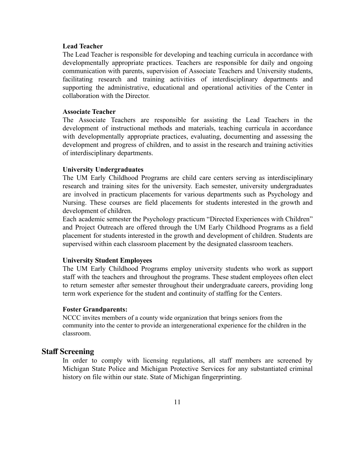#### <span id="page-10-0"></span>**Lead Teacher**

The Lead Teacher is responsible for developing and teaching curricula in accordance with developmentally appropriate practices. Teachers are responsible for daily and ongoing communication with parents, supervision of Associate Teachers and University students, facilitating research and training activities of interdisciplinary departments and supporting the administrative, educational and operational activities of the Center in collaboration with the Director.

#### <span id="page-10-1"></span>**Associate Teacher**

The Associate Teachers are responsible for assisting the Lead Teachers in the development of instructional methods and materials, teaching curricula in accordance with developmentally appropriate practices, evaluating, documenting and assessing the development and progress of children, and to assist in the research and training activities of interdisciplinary departments.

#### <span id="page-10-2"></span>**University Undergraduates**

The UM Early Childhood Programs are child care centers serving as interdisciplinary research and training sites for the university. Each semester, university undergraduates are involved in practicum placements for various departments such as Psychology and Nursing. These courses are field placements for students interested in the growth and development of children.

Each academic semester the Psychology practicum "Directed Experiences with Children" and Project Outreach are offered through the UM Early Childhood Programs as a field placement for students interested in the growth and development of children. Students are supervised within each classroom placement by the designated classroom teachers.

#### <span id="page-10-3"></span>**University Student Employees**

The UM Early Childhood Programs employ university students who work as support staff with the teachers and throughout the programs. These student employees often elect to return semester after semester throughout their undergraduate careers, providing long term work experience for the student and continuity of staffing for the Centers.

#### <span id="page-10-4"></span>**Foster Grandparents:**

NCCC invites members of a county wide organization that brings seniors from the community into the center to provide an intergenerational experience for the children in the classroom.

#### <span id="page-10-5"></span>**Staff Screening**

In order to comply with licensing regulations, all staff members are screened by Michigan State Police and Michigan Protective Services for any substantiated criminal history on file within our state. State of Michigan fingerprinting.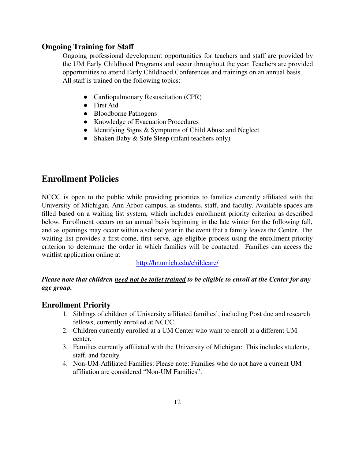### <span id="page-11-0"></span>**Ongoing Training for Staff**

Ongoing professional development opportunities for teachers and staff are provided by the UM Early Childhood Programs and occur throughout the year. Teachers are provided opportunities to attend Early Childhood Conferences and trainings on an annual basis. All staff is trained on the following topics:

- Cardiopulmonary Resuscitation (CPR)
- First Aid
- Bloodborne Pathogens
- Knowledge of Evacuation Procedures
- Identifying Signs & Symptoms of Child Abuse and Neglect
- Shaken Baby & Safe Sleep (infant teachers only)

### <span id="page-11-1"></span>**Enrollment Policies**

NCCC is open to the public while providing priorities to families currently affiliated with the University of Michigan, Ann Arbor campus, as students, staff, and faculty. Available spaces are filled based on a waiting list system, which includes enrollment priority criterion as described below. Enrollment occurs on an annual basis beginning in the late winter for the following fall, and as openings may occur within a school year in the event that a family leaves the Center. The waiting list provides a first-come, first serve, age eligible process using the enrollment priority criterion to determine the order in which families will be contacted. Families can access the waitlist application online at

<http://hr.umich.edu/childcare/>

Please note that children need not be toilet trained to be eligible to enroll at the Center for any *age group.*

#### <span id="page-11-2"></span>**Enrollment Priority**

- 1. Siblings of children of University affiliated families', including Post doc and research fellows, currently enrolled at NCCC.
- 2. Children currently enrolled at a UM Center who want to enroll at a different UM center.
- 3. Families currently affiliated with the University of Michigan: This includes students, staff, and faculty.
- 4. Non-UM-Affiliated Families: Please note: Families who do not have a current UM affiliation are considered "Non-UM Families".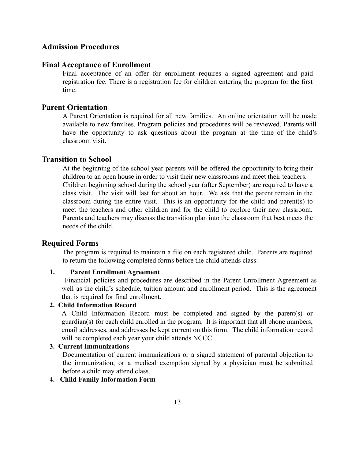### <span id="page-12-0"></span>**Admission Procedures**

#### **Final Acceptance of Enrollment**

Final acceptance of an offer for enrollment requires a signed agreement and paid registration fee. There is a registration fee for children entering the program for the first time.

#### **Parent Orientation**

A Parent Orientation is required for all new families. An online orientation will be made available to new families. Program policies and procedures will be reviewed. Parents will have the opportunity to ask questions about the program at the time of the child's classroom visit.

#### **Transition to School**

At the beginning of the school year parents will be offered the opportunity to bring their children to an open house in order to visit their new classrooms and meet their teachers. Children beginning school during the school year (after September) are required to have a class visit. The visit will last for about an hour. We ask that the parent remain in the classroom during the entire visit. This is an opportunity for the child and parent(s) to meet the teachers and other children and for the child to explore their new classroom. Parents and teachers may discuss the transition plan into the classroom that best meets the needs of the child.

#### <span id="page-12-1"></span>**Required Forms**

The program is required to maintain a file on each registered child. Parents are required to return the following completed forms before the child attends class:

#### **1. Parent Enrollment Agreement**

Financial policies and procedures are described in the Parent Enrollment Agreement as well as the child's schedule, tuition amount and enrollment period. This is the agreement that is required for final enrollment.

#### **2. Child Information Record**

A Child Information Record must be completed and signed by the parent(s) or guardian(s) for each child enrolled in the program. It is important that all phone numbers, email addresses, and addresses be kept current on this form. The child information record will be completed each year your child attends NCCC.

#### **3. Current Immunizations**

Documentation of current immunizations or a signed statement of parental objection to the immunization, or a medical exemption signed by a physician must be submitted before a child may attend class.

#### **4. Child Family Information Form**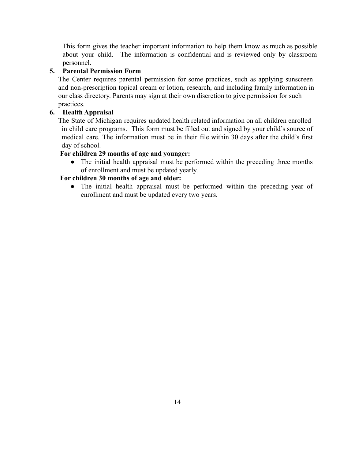This form gives the teacher important information to help them know as much as possible about your child. The information is confidential and is reviewed only by classroom personnel.

### **5. Parental Permission Form**

The Center requires parental permission for some practices, such as applying sunscreen and non-prescription topical cream or lotion, research, and including family information in our class directory. Parents may sign at their own discretion to give permission for such practices.

### **6. Health Appraisal**

The State of Michigan requires updated health related information on all children enrolled in child care programs. This form must be filled out and signed by your child's source of medical care. The information must be in their file within 30 days after the child's first day of school.

### **For children 29 months of age and younger:**

• The initial health appraisal must be performed within the preceding three months of enrollment and must be updated yearly.

## **For children 30 months of age and older:**

● The initial health appraisal must be performed within the preceding year of enrollment and must be updated every two years.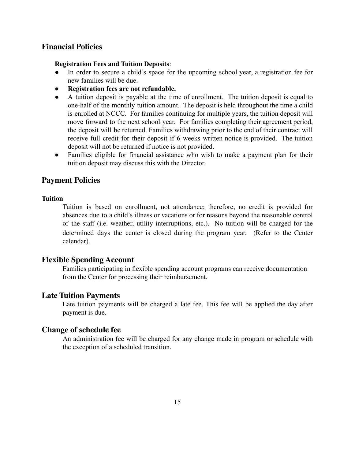#### <span id="page-14-0"></span>**Financial Policies**

#### **Registration Fees and Tuition Deposits**:

- In order to secure a child's space for the upcoming school year, a registration fee for new families will be due.
- **Registration fees are not refundable.**
- A tuition deposit is payable at the time of enrollment. The tuition deposit is equal to one-half of the monthly tuition amount. The deposit is held throughout the time a child is enrolled at NCCC. For families continuing for multiple years, the tuition deposit will move forward to the next school year. For families completing their agreement period, the deposit will be returned. Families withdrawing prior to the end of their contract will receive full credit for their deposit if 6 weeks written notice is provided. The tuition deposit will not be returned if notice is not provided.
- Families eligible for financial assistance who wish to make a payment plan for their tuition deposit may discuss this with the Director.

#### <span id="page-14-1"></span>**Payment Policies**

#### **Tuition**

Tuition is based on enrollment, not attendance; therefore, no credit is provided for absences due to a child's illness or vacations or for reasons beyond the reasonable control of the staff (i.e. weather, utility interruptions, etc.). No tuition will be charged for the determined days the center is closed during the program year. (Refer to the Center calendar).

#### <span id="page-14-2"></span>**Flexible Spending Account**

Families participating in flexible spending account programs can receive documentation from the Center for processing their reimbursement.

#### <span id="page-14-3"></span>**Late Tuition Payments**

Late tuition payments will be charged a late fee. This fee will be applied the day after payment is due.

#### **Change of schedule fee**

An administration fee will be charged for any change made in program or schedule with the exception of a scheduled transition.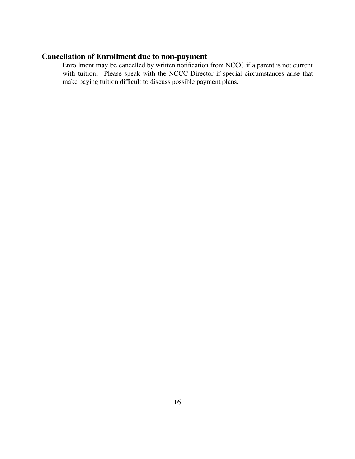# <span id="page-15-0"></span>**Cancellation of Enrollment due to non-payment**

Enrollment may be cancelled by written notification from NCCC if a parent is not current with tuition. Please speak with the NCCC Director if special circumstances arise that make paying tuition difficult to discuss possible payment plans.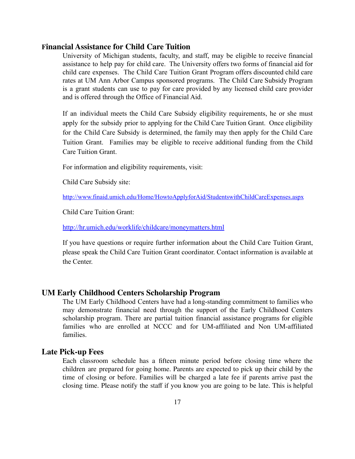#### <span id="page-16-0"></span>**Financial Assistance for Child Care Tuition**

University of Michigan students, faculty, and staff, may be eligible to receive financial assistance to help pay for child care. The University offers two forms of financial aid for child care expenses. The Child Care Tuition Grant Program offers discounted child care rates at UM Ann Arbor Campus sponsored programs. The Child Care Subsidy Program is a grant students can use to pay for care provided by any licensed child care provider and is offered through the Office of Financial Aid.

If an individual meets the Child Care Subsidy eligibility requirements, he or she must apply for the subsidy prior to applying for the Child Care Tuition Grant. Once eligibility for the Child Care Subsidy is determined, the family may then apply for the Child Care Tuition Grant. Families may be eligible to receive additional funding from the Child Care Tuition Grant.

For information and eligibility requirements, visit:

Child Care Subsidy site:

<http://www.finaid.umich.edu/Home/HowtoApplyforAid/StudentswithChildCareExpenses.aspx>

Child Care Tuition Grant:

<http://hr.umich.edu/worklife/childcare/moneymatters.html>

If you have questions or require further information about the Child Care Tuition Grant, please speak the Child Care Tuition Grant coordinator. Contact information is available at the Center.

#### **UM Early Childhood Centers Scholarship Program**

The UM Early Childhood Centers have had a long-standing commitment to families who may demonstrate financial need through the support of the Early Childhood Centers scholarship program. There are partial tuition financial assistance programs for eligible families who are enrolled at NCCC and for UM-affiliated and Non UM-affiliated families.

#### <span id="page-16-1"></span>**Late Pick-up Fees**

Each classroom schedule has a fifteen minute period before closing time where the children are prepared for going home. Parents are expected to pick up their child by the time of closing or before. Families will be charged a late fee if parents arrive past the closing time. Please notify the staff if you know you are going to be late. This is helpful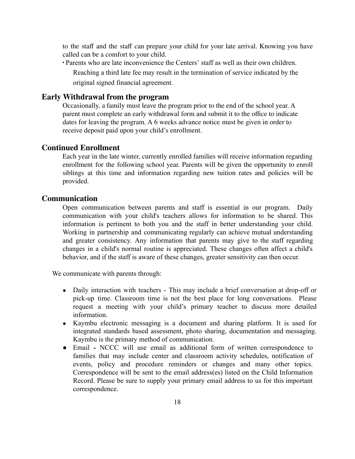to the staff and the staff can prepare your child for your late arrival. Knowing you have called can be a comfort to your child.

∙ Parents who are late inconvenience the Centers' staff as well as their own children.

Reaching a third late fee may result in the termination of service indicated by the original signed financial agreement.

#### <span id="page-17-0"></span>**Early Withdrawal from the program**

Occasionally, a family must leave the program prior to the end of the school year. A parent must complete an early withdrawal form and submit it to the office to indicate dates for leaving the program. A 6 weeks advance notice must be given in order to receive deposit paid upon your child's enrollment.

#### <span id="page-17-1"></span>**Continued Enrollment**

Each year in the late winter, currently enrolled families will receive information regarding enrollment for the following school year. Parents will be given the opportunity to enroll siblings at this time and information regarding new tuition rates and policies will be provided.

#### <span id="page-17-2"></span>**Communication**

Open communication between parents and staff is essential in our program. Daily communication with your child's teachers allows for information to be shared. This information is pertinent to both you and the staff in better understanding your child. Working in partnership and communicating regularly can achieve mutual understanding and greater consistency. Any information that parents may give to the staff regarding changes in a child's normal routine is appreciated. These changes often affect a child's behavior, and if the staff is aware of these changes, greater sensitivity can then occur.

We communicate with parents through:

- Daily interaction with teachers This may include a brief conversation at drop-off or pick-up time. Classroom time is not the best place for long conversations. Please request a meeting with your child's primary teacher to discuss more detailed information.
- Kaymbu electronic messaging is a document and sharing platform. It is used for integrated standards based assessment, photo sharing, documentation and messaging. Kaymbu is the primary method of communication.
- **●** Email **-** NCCC will use email as additional form of written correspondence to families that may include center and classroom activity schedules, notification of events, policy and procedure reminders or changes and many other topics. Correspondence will be sent to the email address(es) listed on the Child Information Record. Please be sure to supply your primary email address to us for this important correspondence.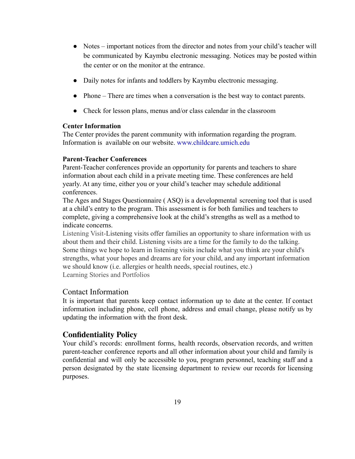- Notes important notices from the director and notes from your child's teacher will be communicated by Kaymbu electronic messaging. Notices may be posted within the center or on the monitor at the entrance.
- Daily notes for infants and toddlers by Kaymbu electronic messaging.
- Phone There are times when a conversation is the best way to contact parents.
- Check for lesson plans, menus and/or class calendar in the classroom

#### **Center Information**

The Center provides the parent community with information regarding the program. Information is available on our website. [www.childcare.umich.edu](http://www.childcare.umich.edu/)

#### **Parent-Teacher Conferences**

Parent-Teacher conferences provide an opportunity for parents and teachers to share information about each child in a private meeting time. These conferences are held yearly. At any time, either you or your child's teacher may schedule additional conferences.

The Ages and Stages Questionnaire ( ASQ) is a developmental screening tool that is used at a child's entry to the program. This assessment is for both families and teachers to complete, giving a comprehensive look at the child's strengths as well as a method to indicate concerns.

Listening Visit-Listening visits offer families an opportunity to share information with us about them and their child. Listening visits are a time for the family to do the talking. Some things we hope to learn in listening visits include what you think are your child's strengths, what your hopes and dreams are for your child, and any important information we should know (i.e. allergies or health needs, special routines, etc.) Learning Stories and Portfolios

#### Contact Information

It is important that parents keep contact information up to date at the center. If contact information including phone, cell phone, address and email change, please notify us by updating the information with the front desk.

### <span id="page-18-0"></span>**Confidentiality Policy**

Your child's records: enrollment forms, health records, observation records, and written parent-teacher conference reports and all other information about your child and family is confidential and will only be accessible to you, program personnel, teaching staff and a person designated by the state licensing department to review our records for licensing purposes.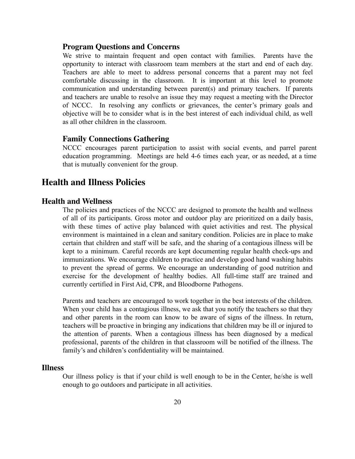#### <span id="page-19-0"></span>**Program Questions and Concerns**

We strive to maintain frequent and open contact with families. Parents have the opportunity to interact with classroom team members at the start and end of each day. Teachers are able to meet to address personal concerns that a parent may not feel comfortable discussing in the classroom. It is important at this level to promote communication and understanding between parent(s) and primary teachers. If parents and teachers are unable to resolve an issue they may request a meeting with the Director of NCCC. In resolving any conflicts or grievances, the center's primary goals and objective will be to consider what is in the best interest of each individual child, as well as all other children in the classroom.

#### <span id="page-19-1"></span>**Family Connections Gathering**

NCCC encourages parent participation to assist with social events, and parrel parent education programming. Meetings are held 4-6 times each year, or as needed, at a time that is mutually convenient for the group.

### <span id="page-19-2"></span>**Health and Illness Policies**

#### <span id="page-19-3"></span>**Health and Wellness**

The policies and practices of the NCCC are designed to promote the health and wellness of all of its participants. Gross motor and outdoor play are prioritized on a daily basis, with these times of active play balanced with quiet activities and rest. The physical environment is maintained in a clean and sanitary condition. Policies are in place to make certain that children and staff will be safe, and the sharing of a contagious illness will be kept to a minimum. Careful records are kept documenting regular health check-ups and immunizations. We encourage children to practice and develop good hand washing habits to prevent the spread of germs. We encourage an understanding of good nutrition and exercise for the development of healthy bodies. All full-time staff are trained and currently certified in First Aid, CPR, and Bloodborne Pathogens.

Parents and teachers are encouraged to work together in the best interests of the children. When your child has a contagious illness, we ask that you notify the teachers so that they and other parents in the room can know to be aware of signs of the illness. In return, teachers will be proactive in bringing any indications that children may be ill or injured to the attention of parents. When a contagious illness has been diagnosed by a medical professional, parents of the children in that classroom will be notified of the illness. The family's and children's confidentiality will be maintained.

#### <span id="page-19-4"></span>**Illness**

Our illness policy is that if your child is well enough to be in the Center, he/she is well enough to go outdoors and participate in all activities.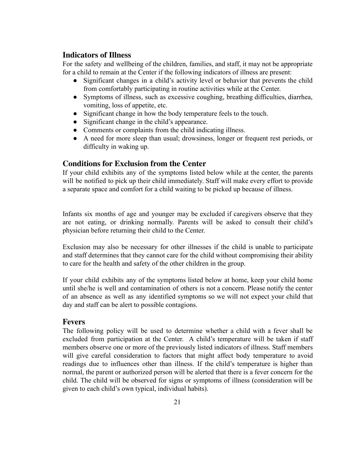### <span id="page-20-0"></span>**Indicators of Illness**

For the safety and wellbeing of the children, families, and staff, it may not be appropriate for a child to remain at the Center if the following indicators of illness are present:

- Significant changes in a child's activity level or behavior that prevents the child from comfortably participating in routine activities while at the Center.
- Symptoms of illness, such as excessive coughing, breathing difficulties, diarrhea, vomiting, loss of appetite, etc.
- Significant change in how the body temperature feels to the touch.
- Significant change in the child's appearance.
- Comments or complaints from the child indicating illness.
- A need for more sleep than usual; drowsiness, longer or frequent rest periods, or difficulty in waking up.

### <span id="page-20-1"></span>**Conditions for Exclusion from the Center**

If your child exhibits any of the symptoms listed below while at the center, the parents will be notified to pick up their child immediately. Staff will make every effort to provide a separate space and comfort for a child waiting to be picked up because of illness.

Infants six months of age and younger may be excluded if caregivers observe that they are not eating, or drinking normally. Parents will be asked to consult their child's physician before returning their child to the Center.

Exclusion may also be necessary for other illnesses if the child is unable to participate and staff determines that they cannot care for the child without compromising their ability to care for the health and safety of the other children in the group.

If your child exhibits any of the symptoms listed below at home, keep your child home until she/he is well and contamination of others is not a concern. Please notify the center of an absence as well as any identified symptoms so we will not expect your child that day and staff can be alert to possible contagions.

#### <span id="page-20-2"></span>**Fevers**

The following policy will be used to determine whether a child with a fever shall be excluded from participation at the Center. A child's temperature will be taken if staff members observe one or more of the previously listed indicators of illness. Staff members will give careful consideration to factors that might affect body temperature to avoid readings due to influences other than illness. If the child's temperature is higher than normal, the parent or authorized person will be alerted that there is a fever concern for the child. The child will be observed for signs or symptoms of illness (consideration will be given to each child's own typical, individual habits).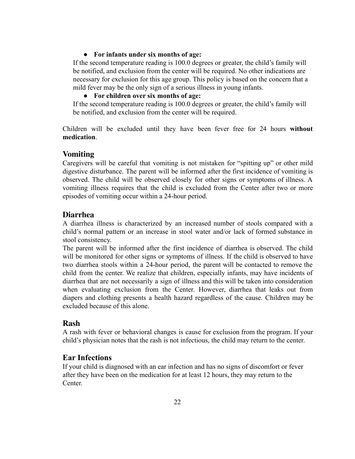#### ● **For infants under six months of age:**

If the second temperature reading is 100.0 degrees or greater, the child's family will be notified, and exclusion from the center will be required. No other indications are necessary for exclusion for this age group. This policy is based on the concern that a mild fever may be the only sign of a serious illness in young infants.

#### ● **For children over six months of age:**

If the second temperature reading is 100.0 degrees or greater, the child's family will be notified, and exclusion from the center will be required.

Children will be excluded until they have been fever free for 24 hours **without medication**.

#### <span id="page-21-0"></span>**Vomiting**

Caregivers will be careful that vomiting is not mistaken for "spitting up" or other mild digestive disturbance. The parent will be informed after the first incidence of vomiting is observed. The child will be observed closely for other signs or symptoms of illness. A vomiting illness requires that the child is excluded from the Center after two or more episodes of vomiting occur within a 24-hour period.

#### <span id="page-21-1"></span>**Diarrhea**

A diarrhea illness is characterized by an increased number of stools compared with a child's normal pattern or an increase in stool water and/or lack of formed substance in stool consistency.

The parent will be informed after the first incidence of diarrhea is observed. The child will be monitored for other signs or symptoms of illness. If the child is observed to have two diarrhea stools within a 24-hour period, the parent will be contacted to remove the child from the center. We realize that children, especially infants, may have incidents of diarrhea that are not necessarily a sign of illness and this will be taken into consideration when evaluating exclusion from the Center. However, diarrhea that leaks out from diapers and clothing presents a health hazard regardless of the cause. Children may be excluded because of this alone.

#### <span id="page-21-2"></span>**Rash**

A rash with fever or behavioral changes is cause for exclusion from the program. If your child's physician notes that the rash is not infectious, the child may return to the center.

#### <span id="page-21-3"></span>**Ear Infections**

If your child is diagnosed with an ear infection and has no signs of discomfort or fever after they have been on the medication for at least 12 hours, they may return to the Center.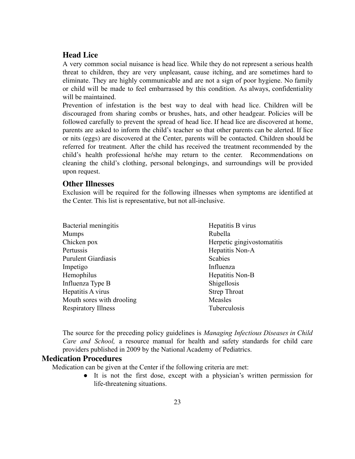### <span id="page-22-0"></span>**Head Lice**

A very common social nuisance is head lice. While they do not represent a serious health threat to children, they are very unpleasant, cause itching, and are sometimes hard to eliminate. They are highly communicable and are not a sign of poor hygiene. No family or child will be made to feel embarrassed by this condition. As always, confidentiality will be maintained.

Prevention of infestation is the best way to deal with head lice. Children will be discouraged from sharing combs or brushes, hats, and other headgear. Policies will be followed carefully to prevent the spread of head lice. If head lice are discovered at home, parents are asked to inform the child's teacher so that other parents can be alerted. If lice or nits (eggs) are discovered at the Center, parents will be contacted. Children should be referred for treatment. After the child has received the treatment recommended by the child's health professional he/she may return to the center. Recommendations on cleaning the child's clothing, personal belongings, and surroundings will be provided upon request.

#### <span id="page-22-1"></span>**Other Illnesses**

Exclusion will be required for the following illnesses when symptoms are identified at the Center. This list is representative, but not all-inclusive.

| Bacterial meningitis       | Hepatitis B virus          |
|----------------------------|----------------------------|
| <b>Mumps</b>               | Rubella                    |
| Chicken pox                | Herpetic gingivostomatitis |
| Pertussis                  | Hepatitis Non-A            |
| <b>Purulent Giardiasis</b> | Scabies                    |
| Impetigo                   | Influenza                  |
| Hemophilus                 | Hepatitis Non-B            |
| Influenza Type B           | Shigellosis                |
| Hepatitis A virus          | <b>Strep Throat</b>        |
| Mouth sores with drooling  | Measles                    |
| <b>Respiratory Illness</b> | Tuberculosis               |

The source for the preceding policy guidelines is *Managing Infectious Diseases in Child Care and School,* a resource manual for health and safety standards for child care providers published in 2009 by the National Academy of Pediatrics.

#### <span id="page-22-2"></span>**Medication Procedures**

Medication can be given at the Center if the following criteria are met:

● It is not the first dose, except with a physician's written permission for life-threatening situations.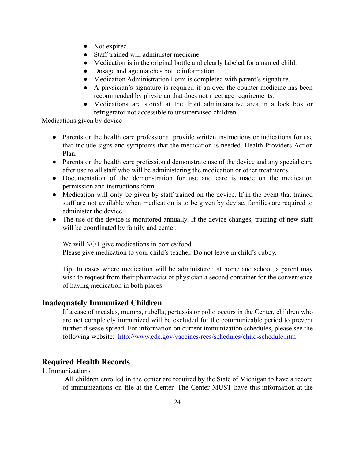- Not expired.
- Staff trained will administer medicine.
- Medication is in the original bottle and clearly labeled for a named child.
- Dosage and age matches bottle information.
- Medication Administration Form is completed with parent's signature.
- A physician's signature is required if an over the counter medicine has been recommended by physician that does not meet age requirements.
- Medications are stored at the front administrative area in a lock box or refrigerator not accessible to unsupervised children.

Medications given by device

- Parents or the health care professional provide written instructions or indications for use that include signs and symptoms that the medication is needed. Health Providers Action Plan.
- Parents or the health care professional demonstrate use of the device and any special care after use to all staff who will be administering the medication or other treatments.
- Documentation of the demonstration for use and care is made on the medication permission and instructions form.
- Medication will only be given by staff trained on the device. If in the event that trained staff are not available when medication is to be given by devise, families are required to administer the device.
- The use of the device is monitored annually. If the device changes, training of new staff will be coordinated by family and center.

We will NOT give medications in bottles/food. Please give medication to your child's teacher. Do not leave in child's cubby.

Tip: In cases where medication will be administered at home and school, a parent may wish to request from their pharmacist or physician a second container for the convenience of having medication in both places.

#### <span id="page-23-0"></span>**Inadequately Immunized Children**

If a case of measles, mumps, rubella, pertussis or polio occurs in the Center, children who are not completely immunized will be excluded for the communicable period to prevent further disease spread. For information on current immunization schedules, please see the following website: <http://www.cdc.gov/vaccines/recs/schedules/child-schedule.htm>

#### <span id="page-23-1"></span>**Required Health Records**

1. Immunizations

All children enrolled in the center are required by the State of Michigan to have a record of immunizations on file at the Center. The Center MUST have this information at the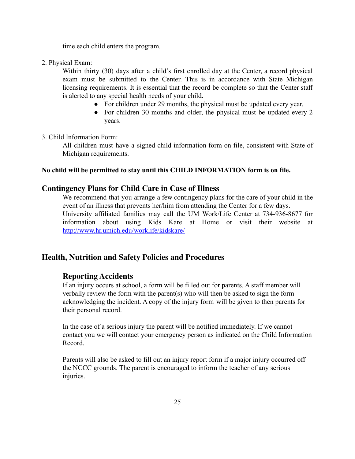time each child enters the program.

2. Physical Exam:

Within thirty (30) days after a child's first enrolled day at the Center, a record physical exam must be submitted to the Center. This is in accordance with State Michigan licensing requirements. It is essential that the record be complete so that the Center staff is alerted to any special health needs of your child.

- For children under 29 months, the physical must be updated every year.
- For children 30 months and older, the physical must be updated every 2 years.

#### 3. Child Information Form:

All children must have a signed child information form on file, consistent with State of Michigan requirements.

#### **No child will be permitted to stay until this CHILD INFORMATION form is on file.**

#### <span id="page-24-0"></span>**Contingency Plans for Child Care in Case of Illness**

We recommend that you arrange a few contingency plans for the care of your child in the event of an illness that prevents her/him from attending the Center for a few days. University affiliated families may call the UM Work/Life Center at 734-936-8677 for information about using Kids Kare at Home or visit their website at [http://www.hr.umich.edu/worklife/kidskare/](http://www.hr.umich.edu/worklife/kidskare/%20)

#### <span id="page-24-2"></span><span id="page-24-1"></span>**Health, Nutrition and Safety Policies and Procedures**

#### **Reporting Accidents**

If an injury occurs at school, a form will be filled out for parents. A staff member will verbally review the form with the parent(s) who will then be asked to sign the form acknowledging the incident. A copy of the injury form will be given to then parents for their personal record.

In the case of a serious injury the parent will be notified immediately. If we cannot contact you we will contact your emergency person as indicated on the Child Information Record.

Parents will also be asked to fill out an injury report form if a major injury occurred off the NCCC grounds. The parent is encouraged to inform the teacher of any serious injuries.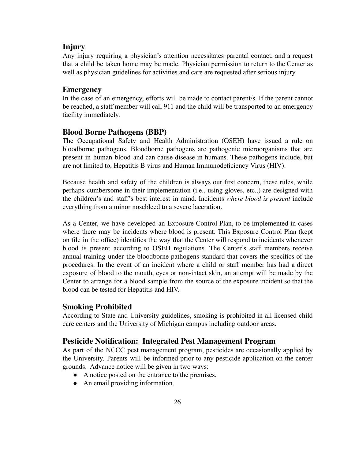#### <span id="page-25-0"></span>**Injury**

Any injury requiring a physician's attention necessitates parental contact, and a request that a child be taken home may be made. Physician permission to return to the Center as well as physician guidelines for activities and care are requested after serious injury.

#### <span id="page-25-1"></span>**Emergency**

In the case of an emergency, efforts will be made to contact parent/s. If the parent cannot be reached, a staff member will call 911 and the child will be transported to an emergency facility immediately.

#### <span id="page-25-2"></span>**Blood Borne Pathogens (BBP)**

The Occupational Safety and Health Administration (OSEH) have issued a rule on bloodborne pathogens. Bloodborne pathogens are pathogenic microorganisms that are present in human blood and can cause disease in humans. These pathogens include, but are not limited to, Hepatitis B virus and Human Immunodeficiency Virus (HIV).

Because health and safety of the children is always our first concern, these rules, while perhaps cumbersome in their implementation (i.e., using gloves, etc.,) are designed with the children's and staff's best interest in mind. Incidents *where blood is present* include everything from a minor nosebleed to a severe laceration.

As a Center, we have developed an Exposure Control Plan, to be implemented in cases where there may be incidents where blood is present. This Exposure Control Plan (kept on file in the office) identifies the way that the Center will respond to incidents whenever blood is present according to OSEH regulations. The Center's staff members receive annual training under the bloodborne pathogens standard that covers the specifics of the procedures. In the event of an incident where a child or staff member has had a direct exposure of blood to the mouth, eyes or non-intact skin, an attempt will be made by the Center to arrange for a blood sample from the source of the exposure incident so that the blood can be tested for Hepatitis and HIV.

#### <span id="page-25-3"></span>**Smoking Prohibited**

According to State and University guidelines, smoking is prohibited in all licensed child care centers and the University of Michigan campus including outdoor areas.

#### <span id="page-25-4"></span>**Pesticide Notification: Integrated Pest Management Program**

As part of the NCCC pest management program, pesticides are occasionally applied by the University. Parents will be informed prior to any pesticide application on the center grounds. Advance notice will be given in two ways:

- A notice posted on the entrance to the premises.
- An email providing information.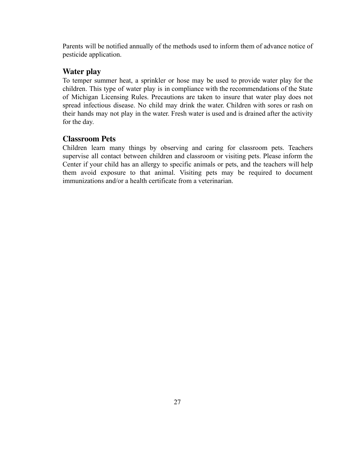Parents will be notified annually of the methods used to inform them of advance notice of pesticide application.

### <span id="page-26-0"></span>**Water play**

To temper summer heat, a sprinkler or hose may be used to provide water play for the children. This type of water play is in compliance with the recommendations of the State of Michigan Licensing Rules. Precautions are taken to insure that water play does not spread infectious disease. No child may drink the water. Children with sores or rash on their hands may not play in the water. Fresh water is used and is drained after the activity for the day.

### <span id="page-26-1"></span>**Classroom Pets**

Children learn many things by observing and caring for classroom pets. Teachers supervise all contact between children and classroom or visiting pets. Please inform the Center if your child has an allergy to specific animals or pets, and the teachers will help them avoid exposure to that animal. Visiting pets may be required to document immunizations and/or a health certificate from a veterinarian.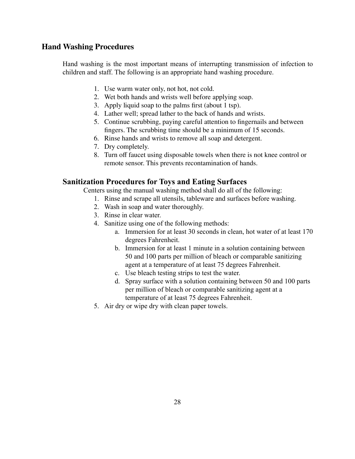### <span id="page-27-0"></span>**Hand Washing Procedures**

Hand washing is the most important means of interrupting transmission of infection to children and staff. The following is an appropriate hand washing procedure.

- 1. Use warm water only, not hot, not cold.
- 2. Wet both hands and wrists well before applying soap.
- 3. Apply liquid soap to the palms first (about 1 tsp).
- 4. Lather well; spread lather to the back of hands and wrists.
- 5. Continue scrubbing, paying careful attention to fingernails and between fingers. The scrubbing time should be a minimum of 15 seconds.
- 6. Rinse hands and wrists to remove all soap and detergent.
- 7. Dry completely.
- 8. Turn off faucet using disposable towels when there is not knee control or remote sensor. This prevents recontamination of hands.

#### <span id="page-27-1"></span>**Sanitization Procedures for Toys and Eating Surfaces**

Centers using the manual washing method shall do all of the following:

- 1. Rinse and scrape all utensils, tableware and surfaces before washing.
- 2. Wash in soap and water thoroughly.
- 3. Rinse in clear water.
- 4. Sanitize using one of the following methods:
	- a. Immersion for at least 30 seconds in clean, hot water of at least 170 degrees Fahrenheit.
	- b. Immersion for at least 1 minute in a solution containing between 50 and 100 parts per million of bleach or comparable sanitizing agent at a temperature of at least 75 degrees Fahrenheit.
	- c. Use bleach testing strips to test the water.
	- d. Spray surface with a solution containing between 50 and 100 parts per million of bleach or comparable sanitizing agent at a temperature of at least 75 degrees Fahrenheit.
- 5. Air dry or wipe dry with clean paper towels.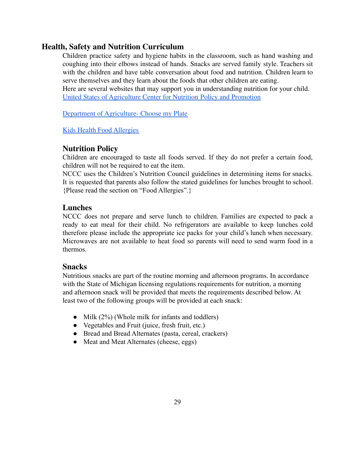### <span id="page-28-0"></span>**Health, Safety and Nutrition Curriculum**

Children practice safety and hygiene habits in the classroom, such as hand washing and coughing into their elbows instead of hands. Snacks are served family style. Teachers sit with the children and have table conversation about food and nutrition. Children learn to serve themselves and they learn about the foods that other children are eating. Here are several websites that may support you in understanding nutrition for your child. United States of [Agriculture](https://www.cnpp.usda.gov/FGP4Children) Center for Nutrition Policy and Promotion

Department of [Agriculture-](http://www.choosemyplate.gov) Choose my Plate

Kids Health Food [Allergies](https://kidshealth.org/en/parents/food-allergies.html)

#### <span id="page-28-1"></span>**Nutrition Policy**

Children are encouraged to taste all foods served. If they do not prefer a certain food, children will not be required to eat the item.

NCCC uses the Children's Nutrition Council guidelines in determining items for snacks. It is requested that parents also follow the stated guidelines for lunches brought to school. {Please read the section on "Food Allergies".}

#### <span id="page-28-2"></span>**Lunches**

NCCC does not prepare and serve lunch to children. Families are expected to pack a ready to eat meal for their child. No refrigerators are available to keep lunches cold therefore please include the appropriate ice packs for your child's lunch when necessary. Microwaves are not available to heat food so parents will need to send warm food in a thermos.

### <span id="page-28-3"></span>**Snacks**

Nutritious snacks are part of the routine morning and afternoon programs. In accordance with the State of Michigan licensing regulations requirements for nutrition, a morning and afternoon snack will be provided that meets the requirements described below. At least two of the following groups will be provided at each snack:

- Milk  $(2\%)$  (Whole milk for infants and toddlers)
- Vegetables and Fruit (juice, fresh fruit, etc.)
- Bread and Bread Alternates (pasta, cereal, crackers)
- Meat and Meat Alternates (cheese, eggs)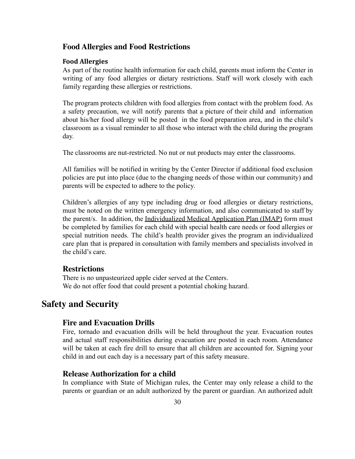#### <span id="page-29-0"></span>**Food Allergies and Food Restrictions**

#### **Food Allergies**

As part of the routine health information for each child, parents must inform the Center in writing of any food allergies or dietary restrictions. Staff will work closely with each family regarding these allergies or restrictions.

The program protects children with food allergies from contact with the problem food. As a safety precaution, we will notify parents that a picture of their child and information about his/her food allergy will be posted in the food preparation area, and in the child's classroom as a visual reminder to all those who interact with the child during the program day.

The classrooms are nut-restricted. No nut or nut products may enter the classrooms.

All families will be notified in writing by the Center Director if additional food exclusion policies are put into place (due to the changing needs of those within our community) and parents will be expected to adhere to the policy.

Children's allergies of any type including drug or food allergies or dietary restrictions, must be noted on the written emergency information, and also communicated to staff by the parent/s. In addition, the Individualized Medical Application Plan (IMAP) form must be completed by families for each child with special health care needs or food allergies or special nutrition needs. The child's health provider gives the program an individualized care plan that is prepared in consultation with family members and specialists involved in the child's care.

#### <span id="page-29-1"></span>**Restrictions**

There is no unpasteurized apple cider served at the Centers. We do not offer food that could present a potential choking hazard.

# <span id="page-29-3"></span><span id="page-29-2"></span>**Safety and Security**

#### **Fire and Evacuation Drills**

Fire, tornado and evacuation drills will be held throughout the year. Evacuation routes and actual staff responsibilities during evacuation are posted in each room. Attendance will be taken at each fire drill to ensure that all children are accounted for. Signing your child in and out each day is a necessary part of this safety measure.

#### <span id="page-29-4"></span>**Release Authorization for a child**

In compliance with State of Michigan rules, the Center may only release a child to the parents or guardian or an adult authorized by the parent or guardian. An authorized adult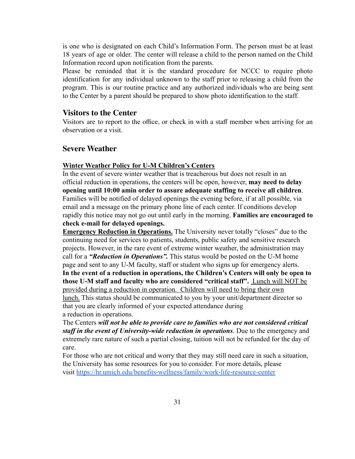is one who is designated on each Child's Information Form. The person must be at least 18 years of age or older. The center will release a child to the person named on the Child Information record upon notification from the parents.

Please be reminded that it is the standard procedure for NCCC to require photo identification for any individual unknown to the staff prior to releasing a child from the program. This is our routine practice and any authorized individuals who are being sent to the Center by a parent should be prepared to show photo identification to the staff.

#### <span id="page-30-0"></span>**Visitors to the Center**

Visitors are to report to the office, or check in with a staff member when arriving for an observation or a visit.

#### <span id="page-30-1"></span>**Severe Weather**

#### **Winter Weather Policy for U-M Children's Centers**

In the event of severe winter weather that is treacherous but does not result in an official reduction in operations, the centers will be open, however, **may need to delay opening until 10:00 amin order to assure adequate staffing to receive all children**. Families will be notified of delayed openings the evening before, if at all possible, via email and a message on the primary phone line of each center. If conditions develop rapidly this notice may not go out until early in the morning. **Families are encouraged to check e-mail for delayed openings.**

**Emergency Reduction in Operations.** The University never totally "closes" due to the continuing need for services to patients, students, public safety and sensitive research projects. However, in the rare event of extreme winter weather, the administration may call for a *"Reduction in Operations".* This status would be posted on the U-M home page and sent to any U-M faculty, staff or student who signs up for emergency alerts. **In the event of a reduction in operations, the Children's Centers will only be open to those U-M staff and faculty who are considered "critical staff".** Lunch will NOT be provided during a reduction in operation. Children will need to bring their own lunch. This status should be communicated to you by your unit/department director so that you are clearly informed of your expected attendance during a reduction in operations.

The Centers *will not be able to provide care to families who are not considered critical staff in the event of University-wide reduction in operations*. Due to the emergency and extremely rare nature of such a partial closing, tuition will not be refunded for the day of care.

For those who are not critical and worry that they may still need care in such a situation, the University has some resources for you to consider. For more details, please visit <https://hr.umich.edu/benefits-wellness/family/work-life-resource-center>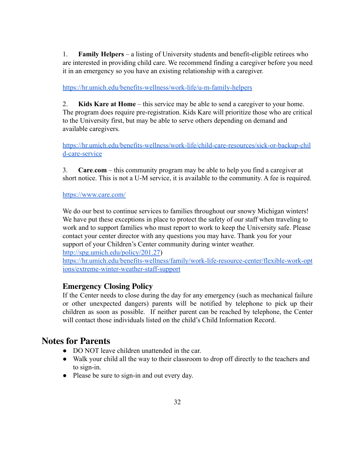1. **Family Helpers** – a listing of University students and benefit-eligible retirees who are interested in providing child care. We recommend finding a caregiver before you need it in an emergency so you have an existing relationship with a caregiver.

<https://hr.umich.edu/benefits-wellness/work-life/u-m-family-helpers>

2. **Kids Kare at Home** – this service may be able to send a caregiver to your home. The program does require pre-registration. Kids Kare will prioritize those who are critical to the University first, but may be able to serve others depending on demand and available caregivers.

[https://hr.umich.edu/benefits-wellness/work-life/child-care-resources/sick-or-backup-chil](https://hr.umich.edu/benefits-wellness/work-life/child-care-resources/sick-or-backup-child-care-service) [d-care-service](https://hr.umich.edu/benefits-wellness/work-life/child-care-resources/sick-or-backup-child-care-service)

3. **Care**.**com** – this community program may be able to help you find a caregiver at short notice. This is not a U-M service, it is available to the community. A fee is required.

<https://www.care.com/>

We do our best to continue services to families throughout our snowy Michigan winters! We have put these exceptions in place to protect the safety of our staff when traveling to work and to support families who must report to work to keep the University safe. Please contact your center director with any questions you may have. Thank you for your support of your Children's Center community during winter weather.

<http://spg.umich.edu/policy/201.27>)

[https://hr.umich.edu/benefits-wellness/family/work-life-resource-center/flexible-work-opt](https://hr.umich.edu/benefits-wellness/family/work-life-resource-center/flexible-work-options/extreme-winter-weather-staff-support) [ions/extreme-winter-weather-staff-support](https://hr.umich.edu/benefits-wellness/family/work-life-resource-center/flexible-work-options/extreme-winter-weather-staff-support)

### <span id="page-31-0"></span>**Emergency Closing Policy**

If the Center needs to close during the day for any emergency (such as mechanical failure or other unexpected dangers) parents will be notified by telephone to pick up their children as soon as possible. If neither parent can be reached by telephone, the Center will contact those individuals listed on the child's Child Information Record.

# <span id="page-31-1"></span>**Notes for Parents**

- DO NOT leave children unattended in the car.
- Walk your child all the way to their classroom to drop off directly to the teachers and to sign-in.
- Please be sure to sign-in and out every day.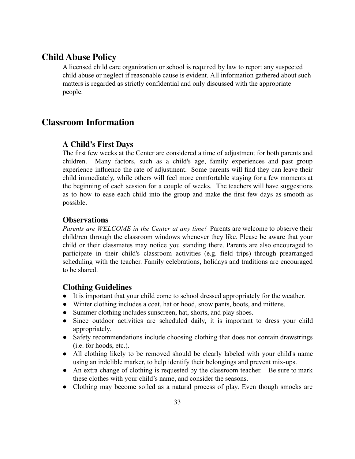### <span id="page-32-0"></span>**Child Abuse Policy**

A licensed child care organization or school is required by law to report any suspected child abuse or neglect if reasonable cause is evident. All information gathered about such matters is regarded as strictly confidential and only discussed with the appropriate people.

## <span id="page-32-1"></span>**Classroom Information**

#### <span id="page-32-2"></span>**A Child's First Days**

The first few weeks at the Center are considered a time of adjustment for both parents and children. Many factors, such as a child's age, family experiences and past group experience influence the rate of adjustment. Some parents will find they can leave their child immediately, while others will feel more comfortable staying for a few moments at the beginning of each session for a couple of weeks. The teachers will have suggestions as to how to ease each child into the group and make the first few days as smooth as possible.

#### <span id="page-32-3"></span>**Observations**

*Parents are WELCOME in the Center at any time!* Parents are welcome to observe their child/ren through the classroom windows whenever they like. Please be aware that your child or their classmates may notice you standing there. Parents are also encouraged to participate in their child's classroom activities (e.g. field trips) through prearranged scheduling with the teacher. Family celebrations, holidays and traditions are encouraged to be shared.

#### <span id="page-32-4"></span>**Clothing Guidelines**

- It is important that your child come to school dressed appropriately for the weather.
- Winter clothing includes a coat, hat or hood, snow pants, boots, and mittens.
- Summer clothing includes sunscreen, hat, shorts, and play shoes.
- Since outdoor activities are scheduled daily, it is important to dress your child appropriately.
- Safety recommendations include choosing clothing that does not contain drawstrings (i.e. for hoods, etc.).
- All clothing likely to be removed should be clearly labeled with your child's name using an indelible marker, to help identify their belongings and prevent mix-ups.
- An extra change of clothing is requested by the classroom teacher. Be sure to mark these clothes with your child's name, and consider the seasons.
- Clothing may become soiled as a natural process of play. Even though smocks are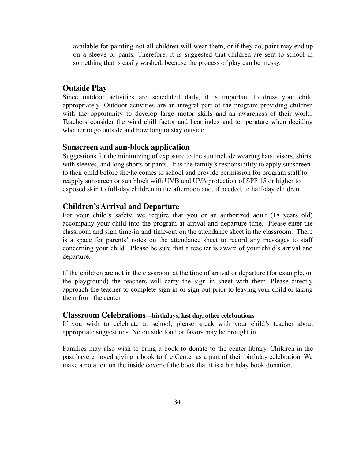available for painting not all children will wear them, or if they do, paint may end up on a sleeve or pants. Therefore, it is suggested that children are sent to school in something that is easily washed, because the process of play can be messy.

#### <span id="page-33-0"></span>**Outside Play**

Since outdoor activities are scheduled daily, it is important to dress your child appropriately. Outdoor activities are an integral part of the program providing children with the opportunity to develop large motor skills and an awareness of their world. Teachers consider the wind chill factor and heat index and temperature when deciding whether to go outside and how long to stay outside.

#### <span id="page-33-1"></span>**Sunscreen and sun-block application**

Suggestions for the minimizing of exposure to the sun include wearing hats, visors, shirts with sleeves, and long shorts or pants. It is the family's responsibility to apply sunscreen to their child before she/he comes to school and provide permission for program staff to reapply sunscreen or sun block with UVB and UVA protection of SPF 15 or higher to exposed skin to full-day children in the afternoon and, if needed, to half-day children.

#### <span id="page-33-2"></span>**Children's Arrival and Departure**

For your child's safety, we require that you or an authorized adult (18 years old) accompany your child into the program at arrival and departure time. Please enter the classroom and sign time-in and time-out on the attendance sheet in the classroom. There is a space for parents' notes on the attendance sheet to record any messages to staff concerning your child. Please be sure that a teacher is aware of your child's arrival and departure.

If the children are not in the classroom at the time of arrival or departure (for example, on the playground) the teachers will carry the sign in sheet with them. Please directly approach the teacher to complete sign in or sign out prior to leaving your child or taking them from the center.

#### <span id="page-33-3"></span>**Classroom Celebrations—birthdays, last day, other celebrations**

If you wish to celebrate at school, please speak with your child's teacher about appropriate suggestions. No outside food or favors may be brought in.

Families may also wish to bring a book to donate to the center library. Children in the past have enjoyed giving a book to the Center as a part of their birthday celebration. We make a notation on the inside cover of the book that it is a birthday book donation.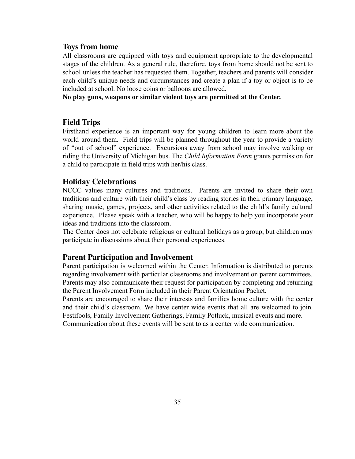#### <span id="page-34-0"></span>**Toys from home**

All classrooms are equipped with toys and equipment appropriate to the developmental stages of the children. As a general rule, therefore, toys from home should not be sent to school unless the teacher has requested them. Together, teachers and parents will consider each child's unique needs and circumstances and create a plan if a toy or object is to be included at school. No loose coins or balloons are allowed.

**No play guns, weapons or similar violent toys are permitted at the Center.**

#### <span id="page-34-1"></span>**Field Trips**

Firsthand experience is an important way for young children to learn more about the world around them. Field trips will be planned throughout the year to provide a variety of "out of school" experience. Excursions away from school may involve walking or riding the University of Michigan bus. The *Child Information Form* grants permission for a child to participate in field trips with her/his class.

#### <span id="page-34-2"></span>**Holiday Celebrations**

NCCC values many cultures and traditions. Parents are invited to share their own traditions and culture with their child's class by reading stories in their primary language, sharing music, games, projects, and other activities related to the child's family cultural experience. Please speak with a teacher, who will be happy to help you incorporate your ideas and traditions into the classroom.

The Center does not celebrate religious or cultural holidays as a group, but children may participate in discussions about their personal experiences.

#### <span id="page-34-3"></span>**Parent Participation and Involvement**

Parent participation is welcomed within the Center. Information is distributed to parents regarding involvement with particular classrooms and involvement on parent committees. Parents may also communicate their request for participation by completing and returning the Parent Involvement Form included in their Parent Orientation Packet.

Parents are encouraged to share their interests and families home culture with the center and their child's classroom. We have center wide events that all are welcomed to join. Festifools, Family Involvement Gatherings, Family Potluck, musical events and more. Communication about these events will be sent to as a center wide communication.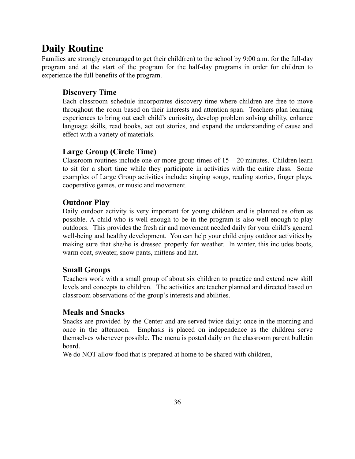# <span id="page-35-0"></span>**Daily Routine**

Families are strongly encouraged to get their child(ren) to the school by 9:00 a.m. for the full-day program and at the start of the program for the half-day programs in order for children to experience the full benefits of the program.

### **Discovery Time**

Each classroom schedule incorporates discovery time where children are free to move throughout the room based on their interests and attention span. Teachers plan learning experiences to bring out each child's curiosity, develop problem solving ability, enhance language skills, read books, act out stories, and expand the understanding of cause and effect with a variety of materials.

### **Large Group (Circle Time)**

Classroom routines include one or more group times of  $15 - 20$  minutes. Children learn to sit for a short time while they participate in activities with the entire class. Some examples of Large Group activities include: singing songs, reading stories, finger plays, cooperative games, or music and movement.

### **Outdoor Play**

Daily outdoor activity is very important for young children and is planned as often as possible. A child who is well enough to be in the program is also well enough to play outdoors. This provides the fresh air and movement needed daily for your child's general well-being and healthy development. You can help your child enjoy outdoor activities by making sure that she/he is dressed properly for weather. In winter, this includes boots, warm coat, sweater, snow pants, mittens and hat.

### **Small Groups**

Teachers work with a small group of about six children to practice and extend new skill levels and concepts to children. The activities are teacher planned and directed based on classroom observations of the group's interests and abilities.

### **Meals and Snacks**

Snacks are provided by the Center and are served twice daily: once in the morning and once in the afternoon. Emphasis is placed on independence as the children serve themselves whenever possible. The menu is posted daily on the classroom parent bulletin board.

We do NOT allow food that is prepared at home to be shared with children,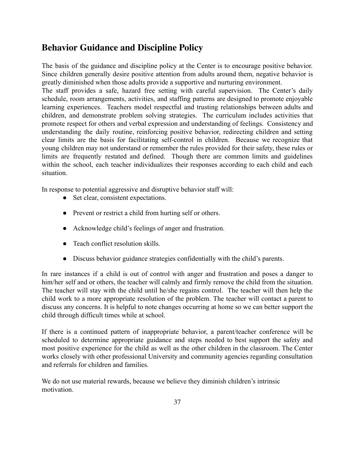# <span id="page-36-0"></span>**Behavior Guidance and Discipline Policy**

The basis of the guidance and discipline policy at the Center is to encourage positive behavior. Since children generally desire positive attention from adults around them, negative behavior is greatly diminished when those adults provide a supportive and nurturing environment.

The staff provides a safe, hazard free setting with careful supervision. The Center's daily schedule, room arrangements, activities, and staffing patterns are designed to promote enjoyable learning experiences. Teachers model respectful and trusting relationships between adults and children, and demonstrate problem solving strategies. The curriculum includes activities that promote respect for others and verbal expression and understanding of feelings. Consistency and understanding the daily routine, reinforcing positive behavior, redirecting children and setting clear limits are the basis for facilitating self-control in children. Because we recognize that young children may not understand or remember the rules provided for their safety, these rules or limits are frequently restated and defined. Though there are common limits and guidelines within the school, each teacher individualizes their responses according to each child and each situation.

In response to potential aggressive and disruptive behavior staff will:

- Set clear, consistent expectations.
- Prevent or restrict a child from hurting self or others.
- Acknowledge child's feelings of anger and frustration.
- Teach conflict resolution skills
- Discuss behavior guidance strategies confidentially with the child's parents.

In rare instances if a child is out of control with anger and frustration and poses a danger to him/her self and or others, the teacher will calmly and firmly remove the child from the situation. The teacher will stay with the child until he/she regains control. The teacher will then help the child work to a more appropriate resolution of the problem. The teacher will contact a parent to discuss any concerns. It is helpful to note changes occurring at home so we can better support the child through difficult times while at school.

If there is a continued pattern of inappropriate behavior, a parent/teacher conference will be scheduled to determine appropriate guidance and steps needed to best support the safety and most positive experience for the child as well as the other children in the classroom. The Center works closely with other professional University and community agencies regarding consultation and referrals for children and families.

We do not use material rewards, because we believe they diminish children's intrinsic motivation.